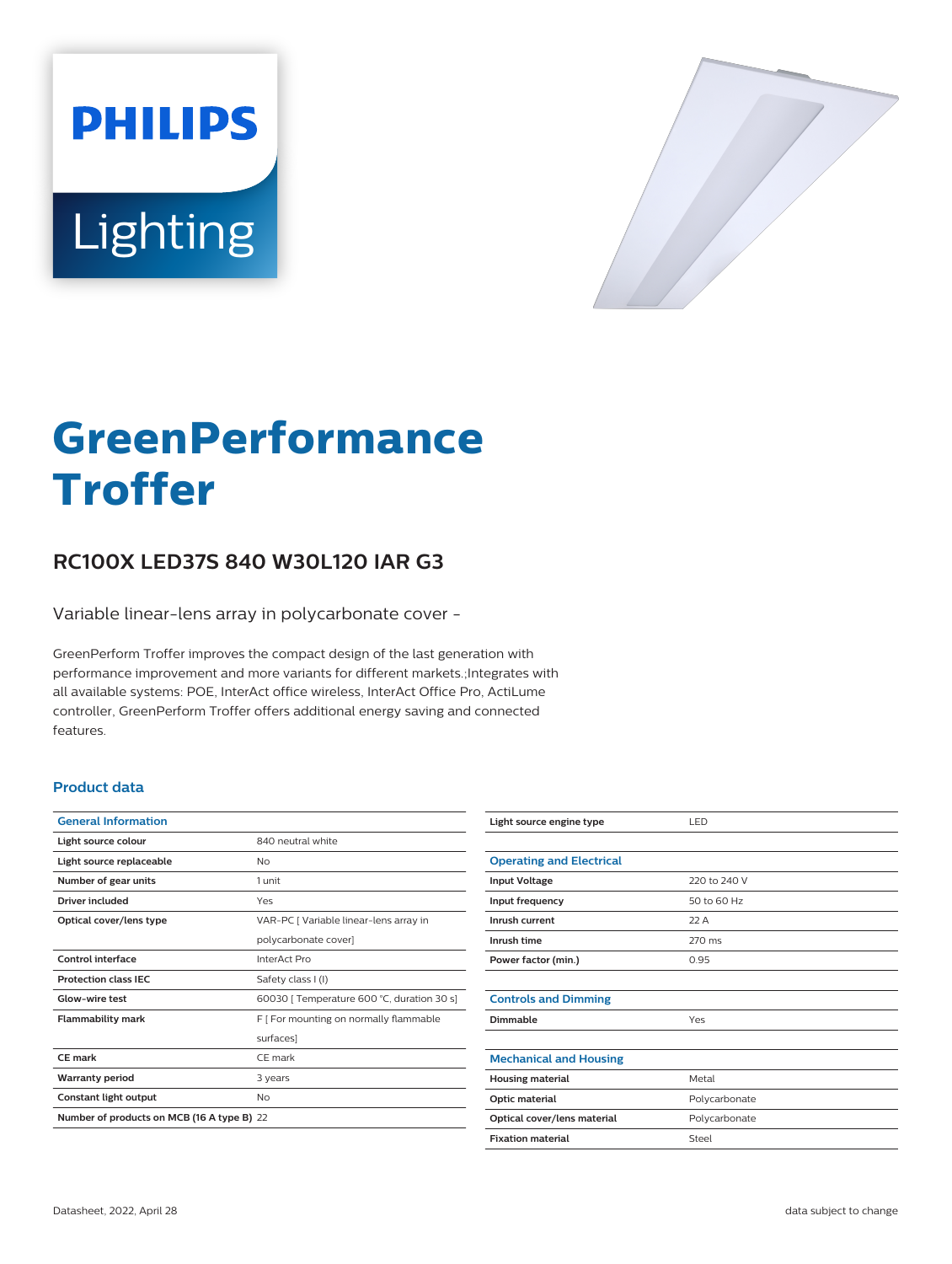



# **GreenPerformance Troffer**

# **RC100X LED37S 840 W30L120 IAR G3**

Variable linear-lens array in polycarbonate cover -

GreenPerform Troffer improves the compact design of the last generation with performance improvement and more variants for different markets.;Integrates with all available systems: POE, InterAct office wireless, InterAct Office Pro, ActiLume controller, GreenPerform Troffer offers additional energy saving and connected features.

## **Product data**

| <b>General Information</b>                 |                                            |
|--------------------------------------------|--------------------------------------------|
| Light source colour                        | 840 neutral white                          |
| Light source replaceable                   | Nο                                         |
| Number of gear units                       | 1 unit                                     |
| Driver included                            | Yes                                        |
| Optical cover/lens type                    | VAR-PC [ Variable linear-lens array in     |
|                                            | polycarbonate cover]                       |
| Control interface                          | InterAct Pro                               |
| <b>Protection class IEC</b>                | Safety class I (I)                         |
| Glow-wire test                             | 60030   Temperature 600 °C, duration 30 s] |
| <b>Flammability mark</b>                   | F [ For mounting on normally flammable     |
|                                            | surfaces]                                  |
| CF mark                                    | CF mark                                    |
| <b>Warranty period</b>                     | 3 years                                    |
| Constant light output                      | No                                         |
| Number of products on MCB (16 A type B) 22 |                                            |

| Light source engine type        | LED           |
|---------------------------------|---------------|
|                                 |               |
| <b>Operating and Electrical</b> |               |
| <b>Input Voltage</b>            | 220 to 240 V  |
| Input frequency                 | 50 to 60 Hz   |
| Inrush current                  | 22A           |
| Inrush time                     | 270 ms        |
| Power factor (min.)             | 0.95          |
|                                 |               |
| <b>Controls and Dimming</b>     |               |
| Dimmable                        | Yes           |
|                                 |               |
| <b>Mechanical and Housing</b>   |               |
| <b>Housing material</b>         | Metal         |
| Optic material                  | Polycarbonate |
| Optical cover/lens material     | Polycarbonate |
| <b>Fixation material</b>        | Steel         |
|                                 |               |